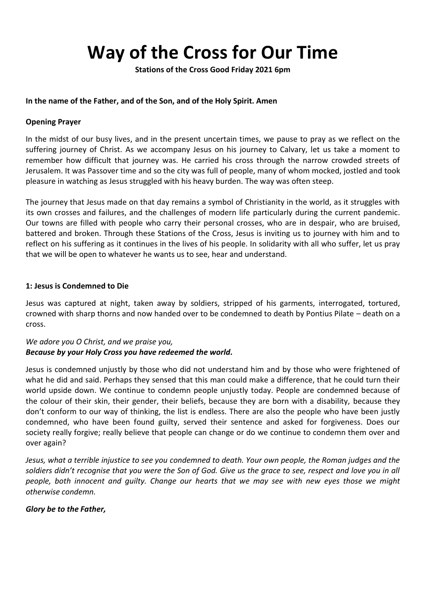# **Way of the Cross for Our Time**

**Stations of the Cross Good Friday 2021 6pm**

## **In the name of the Father, and of the Son, and of the Holy Spirit. Amen**

## **Opening Prayer**

In the midst of our busy lives, and in the present uncertain times, we pause to pray as we reflect on the suffering journey of Christ. As we accompany Jesus on his journey to Calvary, let us take a moment to remember how difficult that journey was. He carried his cross through the narrow crowded streets of Jerusalem. It was Passover time and so the city was full of people, many of whom mocked, jostled and took pleasure in watching as Jesus struggled with his heavy burden. The way was often steep.

The journey that Jesus made on that day remains a symbol of Christianity in the world, as it struggles with its own crosses and failures, and the challenges of modern life particularly during the current pandemic. Our towns are filled with people who carry their personal crosses, who are in despair, who are bruised, battered and broken. Through these Stations of the Cross, Jesus is inviting us to journey with him and to reflect on his suffering as it continues in the lives of his people. In solidarity with all who suffer, let us pray that we will be open to whatever he wants us to see, hear and understand.

#### **1: Jesus is Condemned to Die**

Jesus was captured at night, taken away by soldiers, stripped of his garments, interrogated, tortured, crowned with sharp thorns and now handed over to be condemned to death by Pontius Pilate – death on a cross.

# *We adore you O Christ, and we praise you, Because by your Holy Cross you have redeemed the world.*

Jesus is condemned unjustly by those who did not understand him and by those who were frightened of what he did and said. Perhaps they sensed that this man could make a difference, that he could turn their world upside down. We continue to condemn people unjustly today. People are condemned because of the colour of their skin, their gender, their beliefs, because they are born with a disability, because they don't conform to our way of thinking, the list is endless. There are also the people who have been justly condemned, who have been found guilty, served their sentence and asked for forgiveness. Does our society really forgive; really believe that people can change or do we continue to condemn them over and over again?

*Jesus, what a terrible injustice to see you condemned to death. Your own people, the Roman judges and the*  soldiers didn't recognise that you were the Son of God. Give us the grace to see, respect and love you in all *people, both innocent and guilty. Change our hearts that we may see with new eyes those we might otherwise condemn.*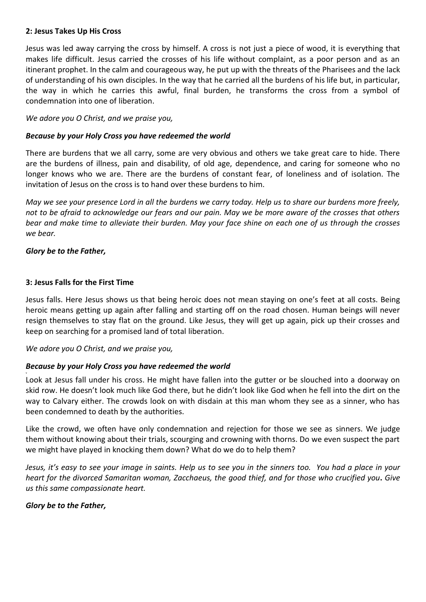### **2: Jesus Takes Up His Cross**

Jesus was led away carrying the cross by himself. A cross is not just a piece of wood, it is everything that makes life difficult. Jesus carried the crosses of his life without complaint, as a poor person and as an itinerant prophet. In the calm and courageous way, he put up with the threats of the Pharisees and the lack of understanding of his own disciples. In the way that he carried all the burdens of his life but, in particular, the way in which he carries this awful, final burden, he transforms the cross from a symbol of condemnation into one of liberation.

*We adore you O Christ, and we praise you,* 

## *Because by your Holy Cross you have redeemed the world*

There are burdens that we all carry, some are very obvious and others we take great care to hide. There are the burdens of illness, pain and disability, of old age, dependence, and caring for someone who no longer knows who we are. There are the burdens of constant fear, of loneliness and of isolation. The invitation of Jesus on the cross is to hand over these burdens to him.

*May we see your presence Lord in all the burdens we carry today. Help us to share our burdens more freely, not to be afraid to acknowledge our fears and our pain. May we be more aware of the crosses that others bear and make time to alleviate their burden. May your face shine on each one of us through the crosses we bear.*

## *Glory be to the Father,*

v

#### **3: Jesus Falls for the First Time**

Jesus falls. Here Jesus shows us that being heroic does not mean staying on one's feet at all costs. Being heroic means getting up again after falling and starting off on the road chosen. Human beings will never resign themselves to stay flat on the ground. Like Jesus, they will get up again, pick up their crosses and keep on searching for a promised land of total liberation.

*We adore you O Christ, and we praise you,* 

# *Because by your Holy Cross you have redeemed the world*

Look at Jesus fall under his cross. He might have fallen into the gutter or be slouched into a doorway on skid row. He doesn't look much like God there, but he didn't look like God when he fell into the dirt on the way to Calvary either. The crowds look on with disdain at this man whom they see as a sinner, who has been condemned to death by the authorities.

Like the crowd, we often have only condemnation and rejection for those we see as sinners. We judge them without knowing about their trials, scourging and crowning with thorns. Do we even suspect the part we might have played in knocking them down? What do we do to help them?

*Jesus, it's easy to see your image in saints. Help us to see you in the sinners too. You had a place in your heart for the divorced Samaritan woman, Zacchaeus, the good thief, and for those who crucified you***.** *Give us this same compassionate heart.*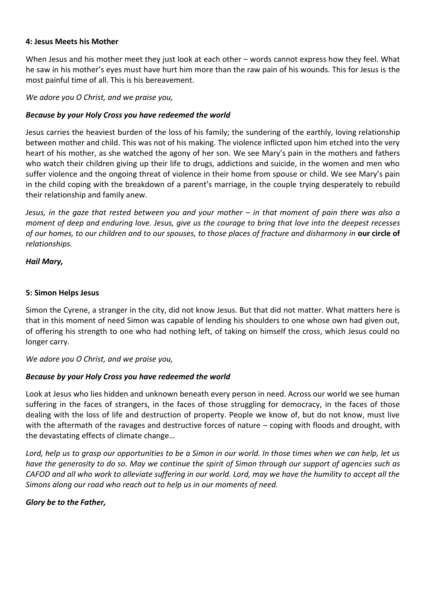## **4: Jesus Meets his Mother**

When Jesus and his mother meet they just look at each other – words cannot express how they feel. What he saw in his mother's eyes must have hurt him more than the raw pain of his wounds. This for Jesus is the most painful time of all. This is his bereavement.

*We adore you O Christ, and we praise you,* 

## *Because by your Holy Cross you have redeemed the world*

Jesus carries the heaviest burden of the loss of his family; the sundering of the earthly, loving relationship between mother and child. This was not of his making. The violence inflicted upon him etched into the very heart of his mother, as she watched the agony of her son. We see Mary's pain in the mothers and fathers who watch their children giving up their life to drugs, addictions and suicide, in the women and men who suffer violence and the ongoing threat of violence in their home from spouse or child. We see Mary's pain in the child coping with the breakdown of a parent's marriage, in the couple trying desperately to rebuild their relationship and family anew.

*Jesus, in the gaze that rested between you and your mother – in that moment of pain there was also a moment of deep and enduring love. Jesus, give us the courage to bring that love into the deepest recesses of our homes, to our children and to our spouses, to those places of fracture and disharmony in* **our circle of** *relationships.* 

*Hail Mary,*

## **5: Simon Helps Jesus**

Simon the Cyrene, a stranger in the city, did not know Jesus. But that did not matter. What matters here is that in this moment of need Simon was capable of lending his shoulders to one whose own had given out, of offering his strength to one who had nothing left, of taking on himself the cross, which Jesus could no longer carry.

*We adore you O Christ, and we praise you,* 

# *Because by your Holy Cross you have redeemed the world*

Look at Jesus who lies hidden and unknown beneath every person in need. Across our world we see human suffering in the faces of strangers, in the faces of those struggling for democracy, in the faces of those dealing with the loss of life and destruction of property. People we know of, but do not know, must live with the aftermath of the ravages and destructive forces of nature – coping with floods and drought, with the devastating effects of climate change…

*Lord, help us to grasp our opportunities to be a Simon in our world. In those times when we can help, let us have the generosity to do so. May we continue the spirit of Simon through our support of agencies such as CAFOD and all who work to alleviate suffering in our world. Lord, may we have the humility to accept all the Simons along our road who reach out to help us in our moments of need.*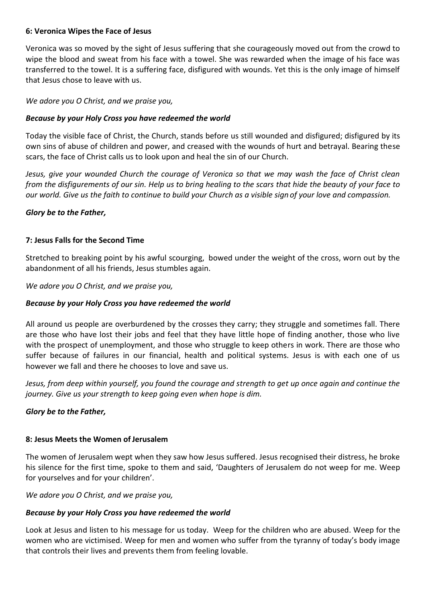## **6: Veronica Wipesthe Face of Jesus**

Veronica was so moved by the sight of Jesus suffering that she courageously moved out from the crowd to wipe the blood and sweat from his face with a towel. She was rewarded when the image of his face was transferred to the towel. It is a suffering face, disfigured with wounds. Yet this is the only image of himself that Jesus chose to leave with us.

*We adore you O Christ, and we praise you,* 

## *Because by your Holy Cross you have redeemed the world*

Today the visible face of Christ, the Church, stands before us still wounded and disfigured; disfigured by its own sins of abuse of children and power, and creased with the wounds of hurt and betrayal. Bearing these scars, the face of Christ calls us to look upon and heal the sin of our Church.

*Jesus, give your wounded Church the courage of Veronica so that we may wash the face of Christ clean from the disfigurements of our sin. Help us to bring healing to the scars that hide the beauty of your face to our world. Give us the faith to continue to build your Church as a visible sign of your love and compassion.*

## *Glory be to the Father,*

# **7: Jesus Falls for the Second Time**

Stretched to breaking point by his awful scourging, bowed under the weight of the cross, worn out by the abandonment of all his friends, Jesus stumbles again.

*We adore you O Christ, and we praise you,* 

## *Because by your Holy Cross you have redeemed the world*

All around us people are overburdened by the crosses they carry; they struggle and sometimes fall. There are those who have lost their jobs and feel that they have little hope of finding another, those who live with the prospect of unemployment, and those who struggle to keep others in work. There are those who suffer because of failures in our financial, health and political systems. Jesus is with each one of us however we fall and there he chooses to love and save us.

*Jesus, from deep within yourself, you found the courage and strength to get up once again and continue the journey. Give us your strength to keep going even when hope is dim.*

#### *Glory be to the Father,*

#### **8: Jesus Meets the Women of Jerusalem**

The women of Jerusalem wept when they saw how Jesus suffered. Jesus recognised their distress, he broke his silence for the first time, spoke to them and said, 'Daughters of Jerusalem do not weep for me. Weep for yourselves and for your children'.

*We adore you O Christ, and we praise you,* 

## *Because by your Holy Cross you have redeemed the world*

Look at Jesus and listen to his message for us today. Weep for the children who are abused. Weep for the women who are victimised. Weep for men and women who suffer from the tyranny of today's body image that controls their lives and prevents them from feeling lovable.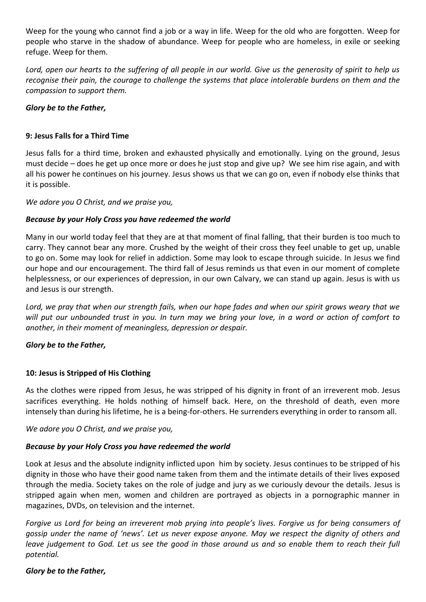Weep for the young who cannot find a job or a way in life. Weep for the old who are forgotten. Weep for people who starve in the shadow of abundance. Weep for people who are homeless, in exile or seeking refuge. Weep for them.

Lord, open our hearts to the suffering of all people in our world. Give us the generosity of spirit to help us *recognise their pain, the courage to challenge the systems that place intolerable burdens on them and the compassion to support them.*

# *Glory be to the Father,*

# **9: Jesus Falls for a Third Time**

Jesus falls for a third time, broken and exhausted physically and emotionally. Lying on the ground, Jesus must decide – does he get up once more or does he just stop and give up? We see him rise again, and with all his power he continues on his journey. Jesus shows us that we can go on, even if nobody else thinks that it is possible.

## *We adore you O Christ, and we praise you,*

# *Because by your Holy Cross you have redeemed the world*

Many in our world today feel that they are at that moment of final falling, that their burden is too much to carry. They cannot bear any more. Crushed by the weight of their cross they feel unable to get up, unable to go on. Some may look for relief in addiction. Some may look to escape through suicide. In Jesus we find our hope and our encouragement. The third fall of Jesus reminds us that even in our moment of complete helplessness, or our experiences of depression, in our own Calvary, we can stand up again. Jesus is with us and Jesus is our strength.

*Lord, we pray that when our strength fails, when our hope fades and when our spirit grows weary that we will put our unbounded trust in you. In turn may we bring your love, in a word or action of comfort to another, in their moment of meaningless, depression or despair.*

# *Glory be to the Father,*

# **10: Jesus is Stripped of His Clothing**

As the clothes were ripped from Jesus, he was stripped of his dignity in front of an irreverent mob. Jesus sacrifices everything. He holds nothing of himself back. Here, on the threshold of death, even more intensely than during his lifetime, he is a being-for-others. He surrenders everything in order to ransom all.

*We adore you O Christ, and we praise you,* 

# *Because by your Holy Cross you have redeemed the world*

Look at Jesus and the absolute indignity inflicted upon him by society. Jesus continues to be stripped of his dignity in those who have their good name taken from them and the intimate details of their lives exposed through the media. Society takes on the role of judge and jury as we curiously devour the details. Jesus is stripped again when men, women and children are portrayed as objects in a pornographic manner in magazines, DVDs, on television and the internet.

*Forgive us Lord for being an irreverent mob prying into people's lives. Forgive us for being consumers of gossip under the name of 'news'. Let us never expose anyone. May we respect the dignity of others and leave judgement to God. Let us see the good in those around us and so enable them to reach their full potential.*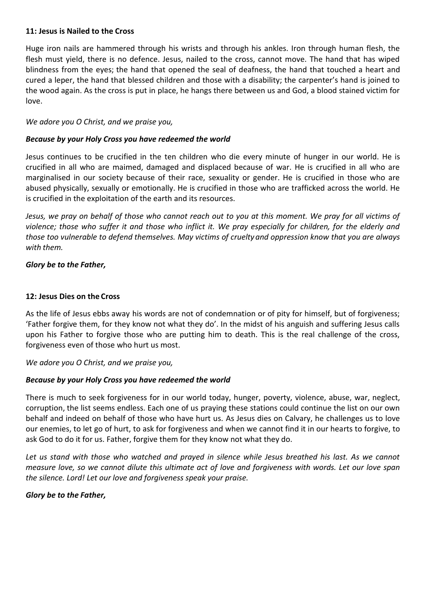#### **11: Jesus is Nailed to the Cross**

Huge iron nails are hammered through his wrists and through his ankles. Iron through human flesh, the flesh must yield, there is no defence. Jesus, nailed to the cross, cannot move. The hand that has wiped blindness from the eyes; the hand that opened the seal of deafness, the hand that touched a heart and cured a leper, the hand that blessed children and those with a disability; the carpenter's hand is joined to the wood again. As the cross is put in place, he hangs there between us and God, a blood stained victim for love.

*We adore you O Christ, and we praise you,* 

## *Because by your Holy Cross you have redeemed the world*

Jesus continues to be crucified in the ten children who die every minute of hunger in our world. He is crucified in all who are maimed, damaged and displaced because of war. He is crucified in all who are marginalised in our society because of their race, sexuality or gender. He is crucified in those who are abused physically, sexually or emotionally. He is crucified in those who are trafficked across the world. He is crucified in the exploitation of the earth and its resources.

*Jesus, we pray on behalf of those who cannot reach out to you at this moment. We pray for all victims of violence; those who suffer it and those who inflict it. We pray especially for children, for the elderly and those too vulnerable to defend themselves. May victims of cruelty and oppression know that you are always with them.*

## *Glory be to the Father,*

## **12: Jesus Dies on the Cross**

As the life of Jesus ebbs away his words are not of condemnation or of pity for himself, but of forgiveness; 'Father forgive them, for they know not what they do'. In the midst of his anguish and suffering Jesus calls upon his Father to forgive those who are putting him to death. This is the real challenge of the cross, forgiveness even of those who hurt us most.

*We adore you O Christ, and we praise you,* 

# *Because by your Holy Cross you have redeemed the world*

There is much to seek forgiveness for in our world today, hunger, poverty, violence, abuse, war, neglect, corruption, the list seems endless. Each one of us praying these stations could continue the list on our own behalf and indeed on behalf of those who have hurt us. As Jesus dies on Calvary, he challenges us to love our enemies, to let go of hurt, to ask for forgiveness and when we cannot find it in our hearts to forgive, to ask God to do it for us. Father, forgive them for they know not what they do.

Let us stand with those who watched and prayed in silence while Jesus breathed his last. As we cannot *measure love, so we cannot dilute this ultimate act of love and forgiveness with words. Let our love span the silence. Lord! Let our love and forgiveness speak your praise.*